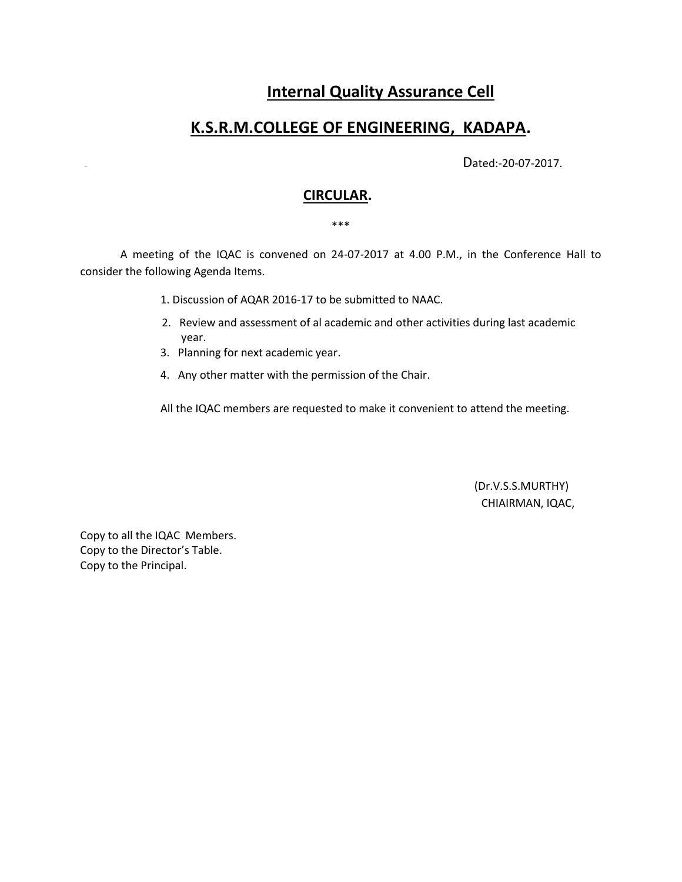# **Internal Quality Assurance Cell**

# **K.S.R.M.COLLEGE OF ENGINEERING, KADAPA.**

Dated:-20-07-2017.

## **CIRCULAR.**

#### \*\*\*

 A meeting of the IQAC is convened on 24-07-2017 at 4.00 P.M., in the Conference Hall to consider the following Agenda Items.

- 1. Discussion of AQAR 2016-17 to be submitted to NAAC.
- 2. Review and assessment of al academic and other activities during last academic year.
- 3. Planning for next academic year.
- 4. Any other matter with the permission of the Chair.

All the IQAC members are requested to make it convenient to attend the meeting.

 (Dr.V.S.S.MURTHY) CHIAIRMAN, IQAC,

Copy to all the IQAC Members. Copy to the Director's Table. Copy to the Principal.